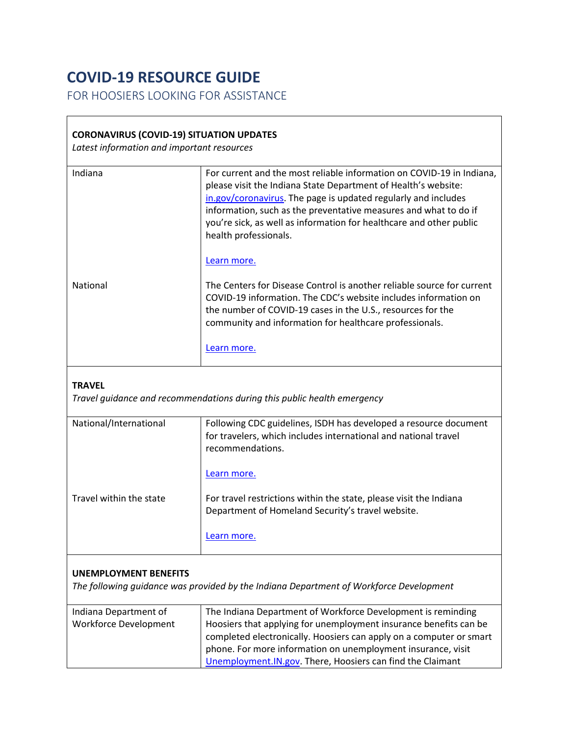## **COVID-19 RESOURCE GUIDE**

FOR HOOSIERS LOOKING FOR ASSISTANCE

## **CORONAVIRUS (COVID-19) SITUATION UPDATES**

*Latest information and important resources*

| Indiana                                               | For current and the most reliable information on COVID-19 in Indiana,<br>please visit the Indiana State Department of Health's website:<br>in.gov/coronavirus. The page is updated regularly and includes<br>information, such as the preventative measures and what to do if<br>you're sick, as well as information for healthcare and other public<br>health professionals. |
|-------------------------------------------------------|-------------------------------------------------------------------------------------------------------------------------------------------------------------------------------------------------------------------------------------------------------------------------------------------------------------------------------------------------------------------------------|
|                                                       | Learn more.                                                                                                                                                                                                                                                                                                                                                                   |
| National                                              | The Centers for Disease Control is another reliable source for current<br>COVID-19 information. The CDC's website includes information on<br>the number of COVID-19 cases in the U.S., resources for the<br>community and information for healthcare professionals.                                                                                                           |
|                                                       | Learn more.                                                                                                                                                                                                                                                                                                                                                                   |
| <b>TRAVEL</b>                                         | Travel guidance and recommendations during this public health emergency                                                                                                                                                                                                                                                                                                       |
| National/International                                | Following CDC guidelines, ISDH has developed a resource document<br>for travelers, which includes international and national travel<br>recommendations.                                                                                                                                                                                                                       |
|                                                       | Learn more.                                                                                                                                                                                                                                                                                                                                                                   |
| Travel within the state                               | For travel restrictions within the state, please visit the Indiana<br>Department of Homeland Security's travel website.                                                                                                                                                                                                                                                       |
|                                                       | Learn more.                                                                                                                                                                                                                                                                                                                                                                   |
| <b>UNEMPLOYMENT BENEFITS</b>                          | The following guidance was provided by the Indiana Department of Workforce Development                                                                                                                                                                                                                                                                                        |
|                                                       |                                                                                                                                                                                                                                                                                                                                                                               |
| Indiana Department of<br><b>Workforce Development</b> | The Indiana Department of Workforce Development is reminding<br>Hoosiers that applying for unemployment insurance benefits can be<br>completed electronically. Hoosiers can apply on a computer or smart                                                                                                                                                                      |

phone. For more information on unemployment insurance, visit [Unemployment.IN.gov.](https://www.in.gov/dwd/3474.htm) There, Hoosiers can find the Claimant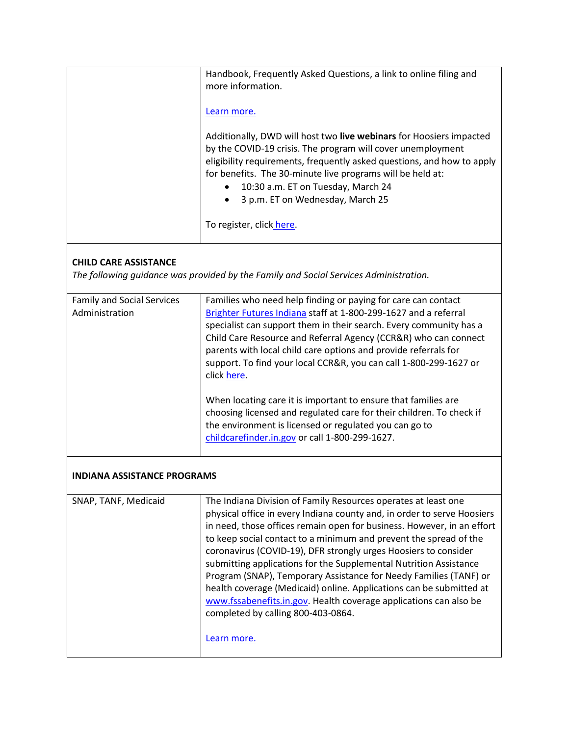|                                                                                                                       | Handbook, Frequently Asked Questions, a link to online filing and                                                                                                                                                                                                                                                                                                                                                                                                                                                                                                                                                                                                                       |  |  |
|-----------------------------------------------------------------------------------------------------------------------|-----------------------------------------------------------------------------------------------------------------------------------------------------------------------------------------------------------------------------------------------------------------------------------------------------------------------------------------------------------------------------------------------------------------------------------------------------------------------------------------------------------------------------------------------------------------------------------------------------------------------------------------------------------------------------------------|--|--|
|                                                                                                                       | more information.                                                                                                                                                                                                                                                                                                                                                                                                                                                                                                                                                                                                                                                                       |  |  |
|                                                                                                                       | Learn more.                                                                                                                                                                                                                                                                                                                                                                                                                                                                                                                                                                                                                                                                             |  |  |
|                                                                                                                       | Additionally, DWD will host two live webinars for Hoosiers impacted<br>by the COVID-19 crisis. The program will cover unemployment<br>eligibility requirements, frequently asked questions, and how to apply<br>for benefits. The 30-minute live programs will be held at:<br>10:30 a.m. ET on Tuesday, March 24<br>3 p.m. ET on Wednesday, March 25                                                                                                                                                                                                                                                                                                                                    |  |  |
|                                                                                                                       | To register, click here.                                                                                                                                                                                                                                                                                                                                                                                                                                                                                                                                                                                                                                                                |  |  |
| <b>CHILD CARE ASSISTANCE</b><br>The following guidance was provided by the Family and Social Services Administration. |                                                                                                                                                                                                                                                                                                                                                                                                                                                                                                                                                                                                                                                                                         |  |  |
| <b>Family and Social Services</b><br>Administration                                                                   | Families who need help finding or paying for care can contact<br>Brighter Futures Indiana staff at 1-800-299-1627 and a referral<br>specialist can support them in their search. Every community has a<br>Child Care Resource and Referral Agency (CCR&R) who can connect<br>parents with local child care options and provide referrals for<br>support. To find your local CCR&R, you can call 1-800-299-1627 or<br>click here.                                                                                                                                                                                                                                                        |  |  |
|                                                                                                                       | When locating care it is important to ensure that families are<br>choosing licensed and regulated care for their children. To check if<br>the environment is licensed or regulated you can go to<br>childcarefinder.in.gov or call 1-800-299-1627.                                                                                                                                                                                                                                                                                                                                                                                                                                      |  |  |
| <b>INDIANA ASSISTANCE PROGRAMS</b>                                                                                    |                                                                                                                                                                                                                                                                                                                                                                                                                                                                                                                                                                                                                                                                                         |  |  |
| SNAP, TANF, Medicaid                                                                                                  | The Indiana Division of Family Resources operates at least one<br>physical office in every Indiana county and, in order to serve Hoosiers<br>in need, those offices remain open for business. However, in an effort<br>to keep social contact to a minimum and prevent the spread of the<br>coronavirus (COVID-19), DFR strongly urges Hoosiers to consider<br>submitting applications for the Supplemental Nutrition Assistance<br>Program (SNAP), Temporary Assistance for Needy Families (TANF) or<br>health coverage (Medicaid) online. Applications can be submitted at<br>www.fssabenefits.in.gov. Health coverage applications can also be<br>completed by calling 800-403-0864. |  |  |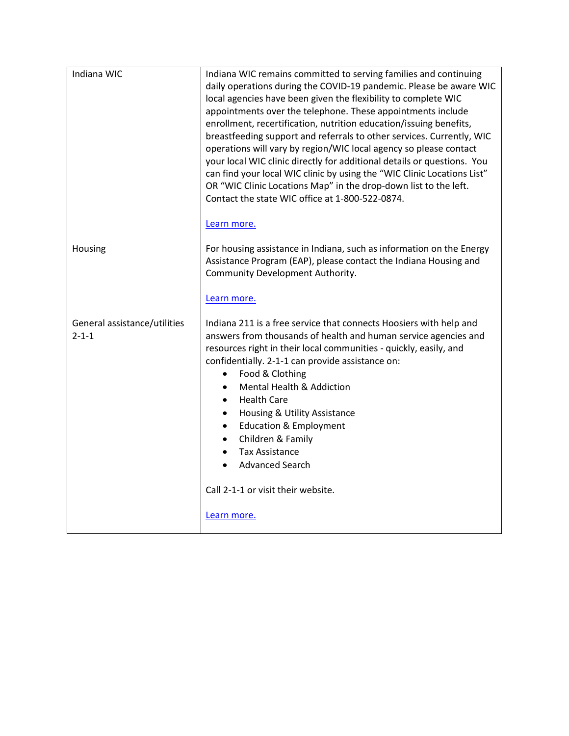| Indiana WIC                                 | Indiana WIC remains committed to serving families and continuing<br>daily operations during the COVID-19 pandemic. Please be aware WIC<br>local agencies have been given the flexibility to complete WIC<br>appointments over the telephone. These appointments include<br>enrollment, recertification, nutrition education/issuing benefits,<br>breastfeeding support and referrals to other services. Currently, WIC<br>operations will vary by region/WIC local agency so please contact<br>your local WIC clinic directly for additional details or questions. You<br>can find your local WIC clinic by using the "WIC Clinic Locations List"<br>OR "WIC Clinic Locations Map" in the drop-down list to the left.<br>Contact the state WIC office at 1-800-522-0874.<br>Learn more. |
|---------------------------------------------|-----------------------------------------------------------------------------------------------------------------------------------------------------------------------------------------------------------------------------------------------------------------------------------------------------------------------------------------------------------------------------------------------------------------------------------------------------------------------------------------------------------------------------------------------------------------------------------------------------------------------------------------------------------------------------------------------------------------------------------------------------------------------------------------|
| Housing                                     | For housing assistance in Indiana, such as information on the Energy<br>Assistance Program (EAP), please contact the Indiana Housing and<br>Community Development Authority.<br>Learn more.                                                                                                                                                                                                                                                                                                                                                                                                                                                                                                                                                                                             |
| General assistance/utilities<br>$2 - 1 - 1$ | Indiana 211 is a free service that connects Hoosiers with help and<br>answers from thousands of health and human service agencies and<br>resources right in their local communities - quickly, easily, and<br>confidentially. 2-1-1 can provide assistance on:<br>Food & Clothing<br>$\bullet$<br>Mental Health & Addiction<br>$\bullet$<br><b>Health Care</b><br>$\bullet$<br>Housing & Utility Assistance<br>$\bullet$<br><b>Education &amp; Employment</b><br>$\bullet$<br>Children & Family<br>$\bullet$<br><b>Tax Assistance</b><br>$\bullet$<br><b>Advanced Search</b>                                                                                                                                                                                                            |
|                                             | Call 2-1-1 or visit their website.<br>Learn more.                                                                                                                                                                                                                                                                                                                                                                                                                                                                                                                                                                                                                                                                                                                                       |
|                                             |                                                                                                                                                                                                                                                                                                                                                                                                                                                                                                                                                                                                                                                                                                                                                                                         |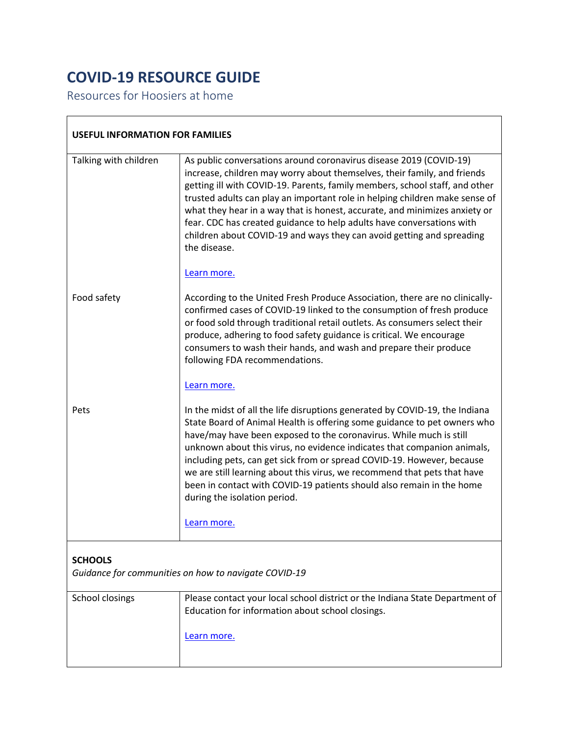## **COVID-19 RESOURCE GUIDE**

Resources for Hoosiers at home<br>
Second the second second second second second second second second second second second second second second second second second second second second second second second second second seco

| <b>USEFUL INFORMATION FOR FAMILIES</b>                                 |                                                                                                                                                                                                                                                                                                                                                                                                                                                                                                                                                                                        |  |
|------------------------------------------------------------------------|----------------------------------------------------------------------------------------------------------------------------------------------------------------------------------------------------------------------------------------------------------------------------------------------------------------------------------------------------------------------------------------------------------------------------------------------------------------------------------------------------------------------------------------------------------------------------------------|--|
| Talking with children                                                  | As public conversations around coronavirus disease 2019 (COVID-19)<br>increase, children may worry about themselves, their family, and friends<br>getting ill with COVID-19. Parents, family members, school staff, and other<br>trusted adults can play an important role in helping children make sense of<br>what they hear in a way that is honest, accurate, and minimizes anxiety or<br>fear. CDC has created guidance to help adults have conversations with<br>children about COVID-19 and ways they can avoid getting and spreading<br>the disease.<br>Learn more.            |  |
| Food safety                                                            | According to the United Fresh Produce Association, there are no clinically-<br>confirmed cases of COVID-19 linked to the consumption of fresh produce<br>or food sold through traditional retail outlets. As consumers select their<br>produce, adhering to food safety guidance is critical. We encourage<br>consumers to wash their hands, and wash and prepare their produce<br>following FDA recommendations.<br>Learn more.                                                                                                                                                       |  |
| Pets                                                                   | In the midst of all the life disruptions generated by COVID-19, the Indiana<br>State Board of Animal Health is offering some guidance to pet owners who<br>have/may have been exposed to the coronavirus. While much is still<br>unknown about this virus, no evidence indicates that companion animals,<br>including pets, can get sick from or spread COVID-19. However, because<br>we are still learning about this virus, we recommend that pets that have<br>been in contact with COVID-19 patients should also remain in the home<br>during the isolation period.<br>Learn more. |  |
| <b>SCHOOLS</b><br>Guidance for communities on how to navigate COVID-19 |                                                                                                                                                                                                                                                                                                                                                                                                                                                                                                                                                                                        |  |
| School closings                                                        | Please contact your local school district or the Indiana State Department of<br>Education for information about school closings.                                                                                                                                                                                                                                                                                                                                                                                                                                                       |  |
|                                                                        | Learn more.                                                                                                                                                                                                                                                                                                                                                                                                                                                                                                                                                                            |  |

 $\overline{\phantom{a}}$